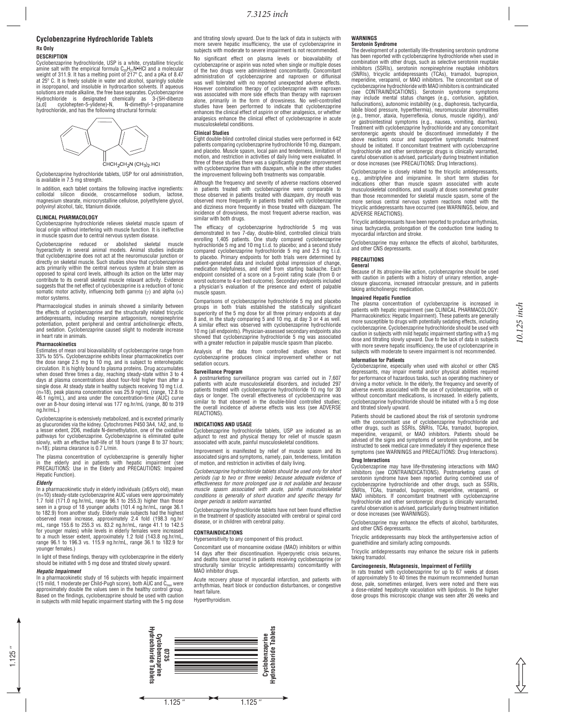# 7.3125 inch

# **Cyclobenzaprine Hydrochloride Tablets Rx Only**

### **DESCRIPTION**

Cyclobenzaprine hydrochloride, USP is a white, crystalline tricyclic<br>amine salt with the empirical formula C<sub>re</sub>H<sub>e</sub> N•HCl and a molecular amine salt with the empirical formula C<sub>20</sub>H<sub>21</sub>N•HCl and a molecular<br>weight of 311.9. It has a melting point of 217º C, and a pKa of 8.47<br>at 25º C. It is freely soluble in water and alcohol, sparingly soluble in isopropanol, and insoluble in hydrocarbon solvents. If aqueous solutions are made alkaline, the free base separates. Cyclobenzaprine<br>Hydrochloride is designated chemically as 3-(5H-dibenzo<br>[a,d] cyclohepten-5-ylidene)-N, N-dimethyl-1-propanam hydrochloride, and has the following structural formula





Cyclobenzaprine hydrochloride tablets, USP for oral administration, is available in 7.5 mg strength.

In addition, each tablet contains the following inactive ingredients: colloidal silicon dioxide, croscarmellose sodium, lactose,<br>magnesium-stearate,-microcrystalline-cellulose,-polyethylene-glycol, polyvinyl alcohol, talc, titanium dioxide.

# **CLINICAL PHARMACOLOGY**

Cyclobenzaprine hydrochloride relieves skeletal muscle spasm of<br>local origin without interfering with muscle function. It is ineffective in muscle spasm due to central nervous system disease

Cyclobenzaprine reduced or abolished skeletal muscle<br>hyperactivity in-several-animal-models. Animal-studies-indicate Proposition of the procedure and act at the neuromuscular junction or directly on skeletal muscle. Such studies show that cyclobenzaprine<br>acts primarily within the central nervous system at brain stem as opposed to spinal cord levels, although its action on the latter may contribute to its overall skeletal muscle relaxant activity. Evidence<br>suggests that the net effect of cyclobenzaprine is a reduction of tonic somatic motor activity, influencing both gamma ( $\gamma$ ) and alpha ( $\alpha$ ) motor systems.

Pharmacological studies in animals showed a similarity between<br>the effects of cyclobenzaprine and the structurally related tricyclic<br>antidepressants, including reserpine antagonism, norepinephrine<br>potentiation, potent peri and sedation. Cyclobenzaprine caused slight to moderate increase<br>in heart rate in animals.

#### **Pharmacokinetics**

Estimates of mean oral bioavailability of cyclobenzaprine range from 33% to 55%. Cyclobenzaprine exhibits linear pharmacokinetics over<br>the dose range 2.5 mg to 10 mg, and is subject to enterohepatic<br>circulation. It is highly bound to plasma proteins. Drug accumulates when dosed three times a day, reaching steady-state within 3 to 4<br>days at plasma concentrations about four-fold higher than after a<br>single dose. At steady state in healthy subjects receiving 10 mg t.i.d.<br>(n=18), peak plasm 46.1 ng/mL), and area under the concentration-time (AUC) curve<br>over an 8-hour dosing interval was 177 ng.hr/mL (range, 80 to 319 ng.hr/mL.)

Cyclobenzaprine is extensively metabolized, and is excreted primarily<br>as glucuronides via the kidney. Cytochromes P450 3A4, 1A2, and, to<br>a lesser extent, 2D6, mediate N-demethylation, one of the oxidative pathways for cyclobenzaprine. Cyclobenzaprine is eliminated quite<br>slowly, with an effective half-life of 18 hours (range 8 to 37 hours; n=18); plasma clearance is 0.7 L/min.

The plasma concentration of cyclobenzaprine is generally higher in the elderly and in patients with hepatic impairment (see<br>PRECAUTIONS: Use in the Elderly and PRECAUTIONS: Impaired Hepatic Function).

### $E$ *Merly*

In a pharmacokinetic study in elderly individuals ( $\geq$ 65yrs old), mean (n=10) steady-state cyclobenzaprine AUC values were approximately<br>1.7 fold (171.0 ng.hr/mL, range 96.1 to 255.3) higher than those<br>seen in a group of 18 younger adults (101.4 ng.hr/mL, range 36.1<br>to 182.9) from another stu observed mean increase, approximately 2.4 fold (198.3 ng.hr/<br>mL, range 155.6 to 255.3 vs. 83.2 ng.hr/mL, range 41.1 to 142.5 for younger males) while levels in elderly females were increased<br>to a much lesser extent, approximately 1.2 fold (143.8 ng.hr/mL,<br>range 96.1 to 196.3 vs. 115.9 ng.hr/mL, range 36.1 to 182.9 for younger females.)

In light of these findings, therapy with cyclobenzaprine in the elderly<br>should be initiated with 5 mg dose and titrated slowly upward.

*Hepatic Impairment*<br>In a pharmacokinetic study of 16 subjects with hepatic impairment (15 mild, 1 moderate per Child-Pugh score), both AUC and C<sub>max</sub> were<br>approximately double the values seen in the healthy control group. Based on the findings, cyclobenzaprine should be used with caution In subjects with mild hepatic impairment starting with the 5 mg dose and titrating slowly upward. Due to the lack of data in subjects with more severe hepatic insufficiency, the use of cyclobenzaprine in<br>subjects with moderate to severe impairment is not recommended.

No significant effect on plasma levels or bioavailability of cyclobenzaprine or aspirin was noted when single or multiple doses<br>of the two drugs were administered concomitantly. Concomitant administration of cyclobenzaprine and naproxen or diflunisal<br>was well tolerated with no reported unexpected adverse effects. However combination therapy of cyclobenzaprine with naproxen<br>was associated with more side effects than therapy with naproxen<br>alone, primarily in the form of drowsiness. No well-controlled<br>studies have been performed to in enhances the clinical effect of aspirin or other analgesics, or whether<br>analgesics enhance the clinical effect of cyclobenzaprine in acute musculoskeletal conditions

# **Clinical Studies**

Eight double-blind controlled clinical studies were performed in 642 patients comparing cyclobenzaprine hydrochloride 10 mg, diazepam,<br>and placebo. Muscle spasm, local pain and tenderness, limitation of motion, and restriction in activities of daily living were evaluated. In<br>three of these studies there was a significantly greater improvement<br>with cyclobenzaprine than with diazepam, while in the other studies<br>the improvem

Although the frequency and severity of adverse reactions observed<br>in patients treated with cyclobenzaprine were comparable to<br>those observed in patients treated with diazepam, dry mouth was<br>observed more frequently in pati similar with both drugs.

The efficacy of cyclobenzaprine hydrochloride 5 mg was demonstrated in two 7-day, double-blind, controlled clinical trials<br>enrolling 1,405 patients. One study compared cyclobenzaprine<br>hydrochloride 5 mg and 10 mg t.i.d. to placebo; and a second study<br>compared cyclobenzaprine h patient-generated data and included global impression of change,<br>medication helpfulness, and relief from starting backache. Each<br>endpoint consisted of a score on a 5-point rating scale (from 0 or<br>worst outcome to 4 or best a physician's evaluation of the presence and extent of palpable<br>muscle.spasm.

Comparisons of cyclobenzaprine hydrochloride 5 mg and placebo<br>groups in both trials established the statistically significant<br>superiority of the 5 mg dose for all three primary endpoints at day<br>8 and, in the study comparin showed that cyclobenzaprine hydrochloride 5 mg was associated<br>with a greater reduction in palpable muscle spasm than placebo.

Analysis of the data from controlled studies shows that cyclobenzaprine produces clinical improvement whether or not sedation occurs.

# **Surveillance Program**

**Lationalist Ligital Exercicies**<br>A postmarketing surveillance program was carried out in 7,607 patients with acute musculoskeletal disorders, and included 297<br>patients treated with cyclobenzaprine hydrochloride 10 mg for 30<br>days or longer. The overall effectiveness of cyclobenzaprine was<br>similar to that observed in the overall incidence of adverse effects was less (see ADVERSE<br>REACTIONS).

**INDICATIONS AND USAGE**<br>Cyclobenzaprine hydrochloride tablets, USP are indicated as an adjunct to rest and physical therapy for relief of muscle spasm<br>associated with acute, painful musculoskeletal conditions.

Improvement is manifested by relief of muscle spasm and its associated signs and symptoms, namely, pain, tenderness, limitation<br>of motion, and restriction in activities of daily living.

Cyclobenzaprine hydrochloride tablets should be used only for short periods (up to two or three weeks) because adequate evidence oi<br>effectiveness for more prolonged use is not available and because muscle spasm associated with acute, painful musculoskeletal<br>conditions is generally of short duration and specific therapy for longer periods is seldom warranted.

Cyclobenzaprine hydrochloride tablets have not been found effective<br>in the treatment of spasticity associated with cerebral or spinal cord end a continuity of opening accounting to

# $$

Hypersensitivity to any component of this product.

Concomitant use of monoamine oxidase (MAO) inhibitors or within 14 days after their discontinuation. Hyperpyretic crisis seizures and deaths have occurred in patients receiving cyclobenzaprine (or<br>structurally similar tricyclic antidepressants) concomitantly with MAO inhibitor drugs.

Acute recovery phase of myocardial infarction, and patients with<br>arrhythmias, heart block or conduction disturbances, or congestive heart failure.

Hyperthyroidism.

# **WARNINGS**

**Serotonin Syndrome**<br>The development of a potentially life-threatening serotonin syndrome The development of a potentially the directioning coroleaning yith one has been reported with cyclobenzaprine hydrochloride when used in combination with other drugs, such as selective serotonin reuptake<br>inhibitors (SSRIs), serotonin norepinephrine reuptake inhibitors (SNRIs), tricyclic antidepressants (TCAs), tramadol, bupropion,<br>meperidine, verapamil, or MAO inhibitors. The concomitant use of<br>cyclobenzaprine।hydrochloride.with MAO inhibitors is contraindicated<br>(see CONTRAINDICATIONS) may include mental status changes (e.g., confusion, agitation,<br>hallucinations), autonomic instability (e.g., diaphoresis, tachycardia, labile blood pressure, hyperthermia), neuromuscular abnormalities<br>(e.g., tremor, ataxia, hyperreflexia, clonus, muscle rigidity), and/<br>or gastrointestinal symptoms (e.g., nausea, vomiting, diarrhea).<br>Treatment with cyclobe serotonergic agents should be discontinued immediately if the<br>above reactions occur and supportive symptomatic treatment<br>should be initiated. If concomitant treatment with cyclobenzaprine hydrochloride and other serotonergic drugs is clinically warranted,<br>careful observation is advised, particularly during treatment initiation or dose increases (see PRECAUTIONS: Drug Interactions).

Cyclobenzaprine is closely related to the tricyclic antidepressants, e.g., amitriptyline and imipramine. In short term studies for<br>indications other than muscle spasm associated with acute musculoskeletal conditions, and usually at doses somewhat greater<br>than those recommended for skeletal muscle spasm, some of the more serious central nervous system reactions noted with the<br>tricyclic antidepressants have occurred (see WARNINGS, below, and<br>ADVERSE REACTIONS).

Tricyclic antidepressants have been reported to produce arrhythmias, sinus tachycardia, prolongation of the conduction time leading to myocardial infarction and stroke.

Cyclobenzaprine may enhance the effects of alcohol, barbiturates, and other CNS depressants.

# **PRECAUTIONS**

General **Because of its atropine-like action, cyclobenzaprine should be used** with caution in patients with a history of urinary retention, angleclosure glaucoma, increased intraocular pressure, and in patients taking anticholinergic medication.

# **Impaired Hepatic Function**

The plasma concentration of cyclobenzaprine is increased in<br>patients.with.hepatic.impairment.(see.CLINICAL.PHARMACOLOGY: Pharmacokinetics: Hepatic Impairment). These patients are generally<br>more susceptible to drugs with potentially sedating effects, including cyclobenzaprine. Cyclobenzaprine hydrochloride should be used with<br>caution in subjects with mild hepatic impairment starting with a 5 mg dose and titrating slowly upward. Due to the lack of data in subjects<br>with more severe hepatic insufficiency, the use of cyclobenzaprine in subjects with moderate to severe impairment is not recommended.

# **Information for Patients**

Cyclobenzaprine, especially when used with alcohol or other CNS depressants, may impair mental and/or physical abilities required<br>for performance of hazardous tasks, such as operating machinery or driving a motor vehicle. In the elderly, the frequency and severity of adverse events associated with the use of cyclobenzaprine, with or<br>without concomitant medications, is increased. In elderly patients,<br>cyclobenzaprine hydrochloride should be initiated with a 5 mg dose and titrated slowly upward.

Patients should be cautioned about the risk of serotonin syndrome with the concomitant use of cyclobenzaprine hydrochloride and<br>other drugs, such as SSRIs, SNRIs, TCAs, tramadol, bupropion,<br>meperidine, verapamil, or MAO inhibitors. Patients should be<br>advised of the signs and symptoms of symptoms (see WARNINGS and PRECAUTIONS: Drug Interactions).

#### **Drug Interactions**

Cyclobenzaprine may have life-threatening interactions with MAO<br>inhibitors (see CONTRAINDICATIONS). Postmarketing cases of Serotonin syndrome have been reported during combined use of cyclobenzaprine hydrochloride and other drugs, such as SSRIs. SNRIs, TCAs, tramadol, bupropion, meperidine, verapamil, or MAO inhibitors. If concomitant treatment with cyclobenzaprine hydrochloride and other serotonergic drugs is clinically warranted,<br>careful observation is advised, particularly during treatment initiation or dose increases (see WARNINGS).

Cyclobenzaprine may enhance the effects of alcohol, barbiturates, and other CNS depressants.

Tricyclic antidepressants may block the antihypertensive action of guanethidine and similarly acting compounds

Tricyclic antidepressants may enhance the seizure risk in patients taking tramadol.

# **Carcinogenesis, Mutagenesis, Impairment of Fertility**

In rats treated with cyclobenzaprine for up to 67 weeks at doses<br>of approximately 5 to 40 times the maximum recommended human dose, pale, sometimes enlarged, livers were noted and there was<br>a dose-related hepatocyte vacuolation with lipidosis. In the higher dose groups this microscopic change was seen after 26 weeks and